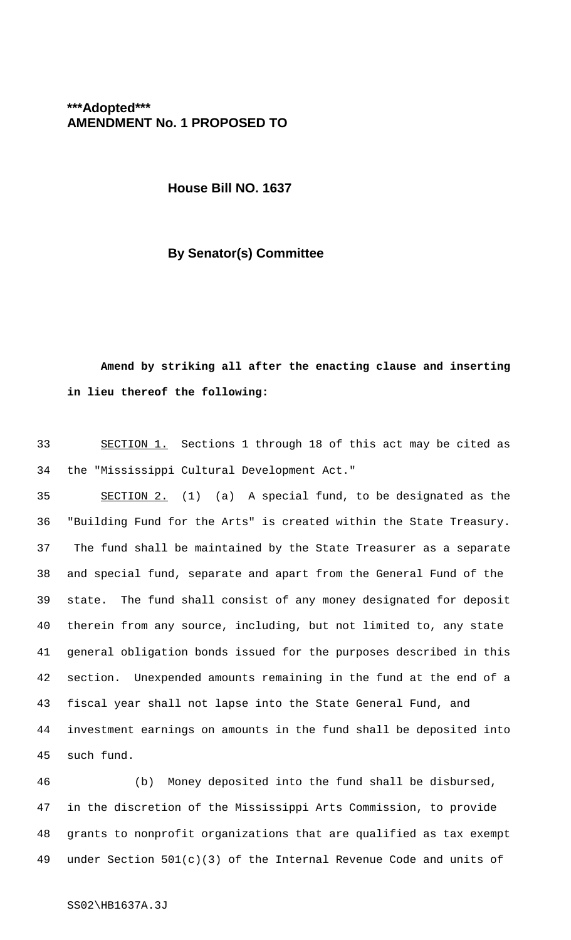# **\*\*\*Adopted\*\*\* AMENDMENT No. 1 PROPOSED TO**

**House Bill NO. 1637**

#### **By Senator(s) Committee**

# **Amend by striking all after the enacting clause and inserting in lieu thereof the following:**

 SECTION 1. Sections 1 through 18 of this act may be cited as the "Mississippi Cultural Development Act."

 SECTION 2. (1) (a) A special fund, to be designated as the "Building Fund for the Arts" is created within the State Treasury. 37 The fund shall be maintained by the State Treasurer as a separate and special fund, separate and apart from the General Fund of the state. The fund shall consist of any money designated for deposit therein from any source, including, but not limited to, any state general obligation bonds issued for the purposes described in this section. Unexpended amounts remaining in the fund at the end of a fiscal year shall not lapse into the State General Fund, and investment earnings on amounts in the fund shall be deposited into such fund.

 (b) Money deposited into the fund shall be disbursed, in the discretion of the Mississippi Arts Commission, to provide grants to nonprofit organizations that are qualified as tax exempt under Section 501(c)(3) of the Internal Revenue Code and units of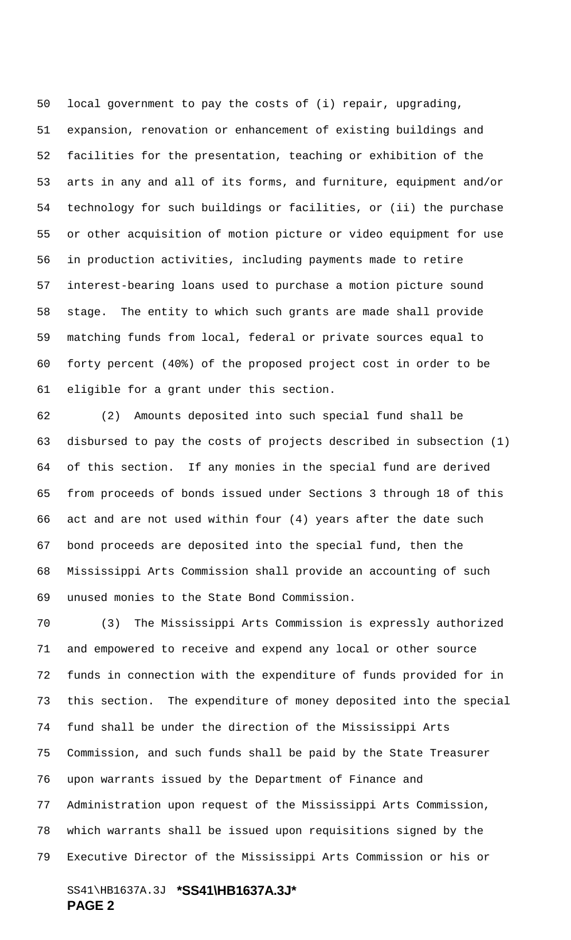local government to pay the costs of (i) repair, upgrading, expansion, renovation or enhancement of existing buildings and facilities for the presentation, teaching or exhibition of the arts in any and all of its forms, and furniture, equipment and/or technology for such buildings or facilities, or (ii) the purchase or other acquisition of motion picture or video equipment for use in production activities, including payments made to retire interest-bearing loans used to purchase a motion picture sound stage. The entity to which such grants are made shall provide matching funds from local, federal or private sources equal to forty percent (40%) of the proposed project cost in order to be eligible for a grant under this section.

 (2) Amounts deposited into such special fund shall be disbursed to pay the costs of projects described in subsection (1) of this section. If any monies in the special fund are derived from proceeds of bonds issued under Sections 3 through 18 of this act and are not used within four (4) years after the date such bond proceeds are deposited into the special fund, then the Mississippi Arts Commission shall provide an accounting of such unused monies to the State Bond Commission.

 (3) The Mississippi Arts Commission is expressly authorized and empowered to receive and expend any local or other source funds in connection with the expenditure of funds provided for in this section. The expenditure of money deposited into the special fund shall be under the direction of the Mississippi Arts Commission, and such funds shall be paid by the State Treasurer upon warrants issued by the Department of Finance and Administration upon request of the Mississippi Arts Commission, which warrants shall be issued upon requisitions signed by the Executive Director of the Mississippi Arts Commission or his or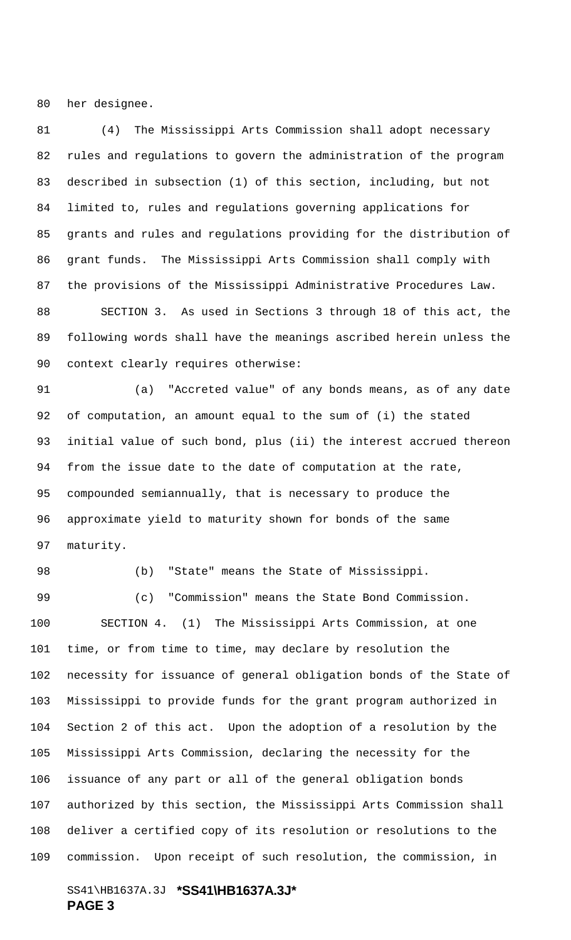her designee.

 (4) The Mississippi Arts Commission shall adopt necessary rules and regulations to govern the administration of the program described in subsection (1) of this section, including, but not limited to, rules and regulations governing applications for grants and rules and regulations providing for the distribution of grant funds. The Mississippi Arts Commission shall comply with the provisions of the Mississippi Administrative Procedures Law. SECTION 3. As used in Sections 3 through 18 of this act, the following words shall have the meanings ascribed herein unless the context clearly requires otherwise:

 (a) "Accreted value" of any bonds means, as of any date of computation, an amount equal to the sum of (i) the stated initial value of such bond, plus (ii) the interest accrued thereon from the issue date to the date of computation at the rate, compounded semiannually, that is necessary to produce the approximate yield to maturity shown for bonds of the same maturity.

(b) "State" means the State of Mississippi.

 (c) "Commission" means the State Bond Commission. SECTION 4. (1) The Mississippi Arts Commission, at one time, or from time to time, may declare by resolution the necessity for issuance of general obligation bonds of the State of Mississippi to provide funds for the grant program authorized in Section 2 of this act. Upon the adoption of a resolution by the Mississippi Arts Commission, declaring the necessity for the issuance of any part or all of the general obligation bonds authorized by this section, the Mississippi Arts Commission shall deliver a certified copy of its resolution or resolutions to the commission. Upon receipt of such resolution, the commission, in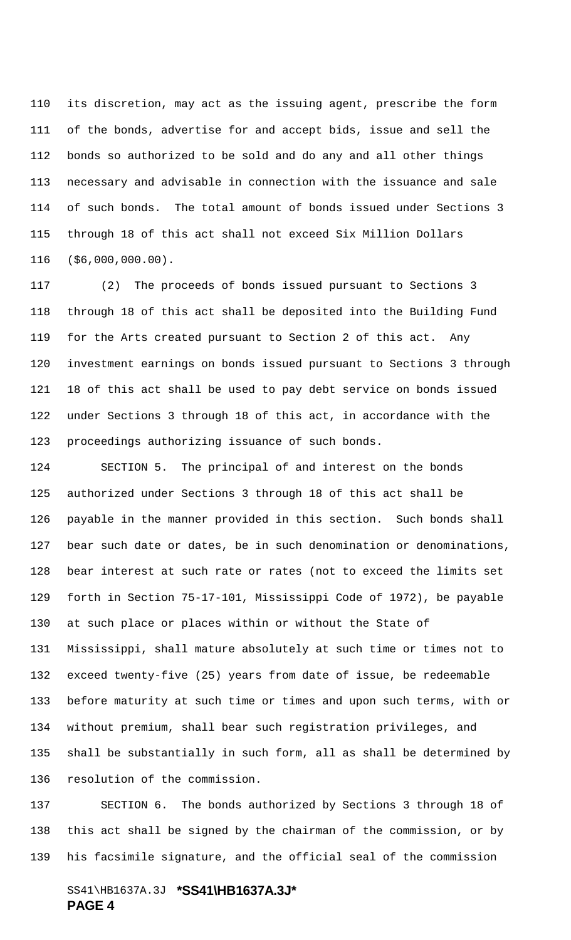its discretion, may act as the issuing agent, prescribe the form of the bonds, advertise for and accept bids, issue and sell the bonds so authorized to be sold and do any and all other things necessary and advisable in connection with the issuance and sale of such bonds. The total amount of bonds issued under Sections 3 through 18 of this act shall not exceed Six Million Dollars (\$6,000,000.00).

 (2) The proceeds of bonds issued pursuant to Sections 3 through 18 of this act shall be deposited into the Building Fund for the Arts created pursuant to Section 2 of this act. Any investment earnings on bonds issued pursuant to Sections 3 through 18 of this act shall be used to pay debt service on bonds issued under Sections 3 through 18 of this act, in accordance with the proceedings authorizing issuance of such bonds.

 SECTION 5. The principal of and interest on the bonds authorized under Sections 3 through 18 of this act shall be payable in the manner provided in this section. Such bonds shall bear such date or dates, be in such denomination or denominations, bear interest at such rate or rates (not to exceed the limits set forth in Section 75-17-101, Mississippi Code of 1972), be payable at such place or places within or without the State of Mississippi, shall mature absolutely at such time or times not to exceed twenty-five (25) years from date of issue, be redeemable before maturity at such time or times and upon such terms, with or without premium, shall bear such registration privileges, and shall be substantially in such form, all as shall be determined by resolution of the commission.

 SECTION 6. The bonds authorized by Sections 3 through 18 of this act shall be signed by the chairman of the commission, or by his facsimile signature, and the official seal of the commission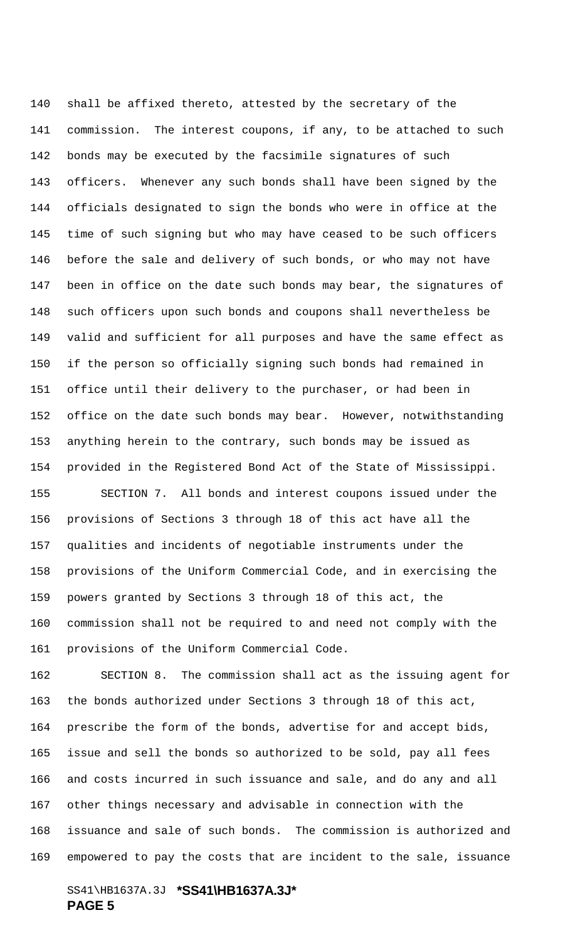shall be affixed thereto, attested by the secretary of the commission. The interest coupons, if any, to be attached to such bonds may be executed by the facsimile signatures of such officers. Whenever any such bonds shall have been signed by the officials designated to sign the bonds who were in office at the time of such signing but who may have ceased to be such officers before the sale and delivery of such bonds, or who may not have been in office on the date such bonds may bear, the signatures of such officers upon such bonds and coupons shall nevertheless be valid and sufficient for all purposes and have the same effect as if the person so officially signing such bonds had remained in office until their delivery to the purchaser, or had been in office on the date such bonds may bear. However, notwithstanding anything herein to the contrary, such bonds may be issued as provided in the Registered Bond Act of the State of Mississippi. SECTION 7. All bonds and interest coupons issued under the provisions of Sections 3 through 18 of this act have all the qualities and incidents of negotiable instruments under the provisions of the Uniform Commercial Code, and in exercising the powers granted by Sections 3 through 18 of this act, the commission shall not be required to and need not comply with the

provisions of the Uniform Commercial Code.

 SECTION 8. The commission shall act as the issuing agent for the bonds authorized under Sections 3 through 18 of this act, prescribe the form of the bonds, advertise for and accept bids, issue and sell the bonds so authorized to be sold, pay all fees and costs incurred in such issuance and sale, and do any and all other things necessary and advisable in connection with the issuance and sale of such bonds. The commission is authorized and empowered to pay the costs that are incident to the sale, issuance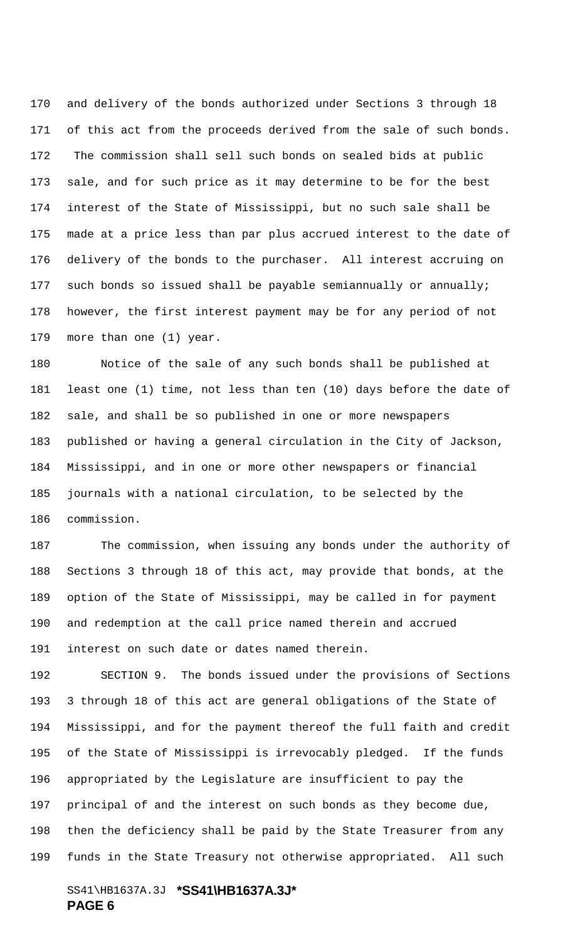and delivery of the bonds authorized under Sections 3 through 18 171 of this act from the proceeds derived from the sale of such bonds. 172 The commission shall sell such bonds on sealed bids at public sale, and for such price as it may determine to be for the best interest of the State of Mississippi, but no such sale shall be made at a price less than par plus accrued interest to the date of delivery of the bonds to the purchaser. All interest accruing on such bonds so issued shall be payable semiannually or annually; however, the first interest payment may be for any period of not more than one (1) year.

 Notice of the sale of any such bonds shall be published at least one (1) time, not less than ten (10) days before the date of sale, and shall be so published in one or more newspapers published or having a general circulation in the City of Jackson, Mississippi, and in one or more other newspapers or financial journals with a national circulation, to be selected by the commission.

 The commission, when issuing any bonds under the authority of Sections 3 through 18 of this act, may provide that bonds, at the option of the State of Mississippi, may be called in for payment and redemption at the call price named therein and accrued interest on such date or dates named therein.

 SECTION 9. The bonds issued under the provisions of Sections 3 through 18 of this act are general obligations of the State of Mississippi, and for the payment thereof the full faith and credit of the State of Mississippi is irrevocably pledged. If the funds appropriated by the Legislature are insufficient to pay the principal of and the interest on such bonds as they become due, then the deficiency shall be paid by the State Treasurer from any funds in the State Treasury not otherwise appropriated. All such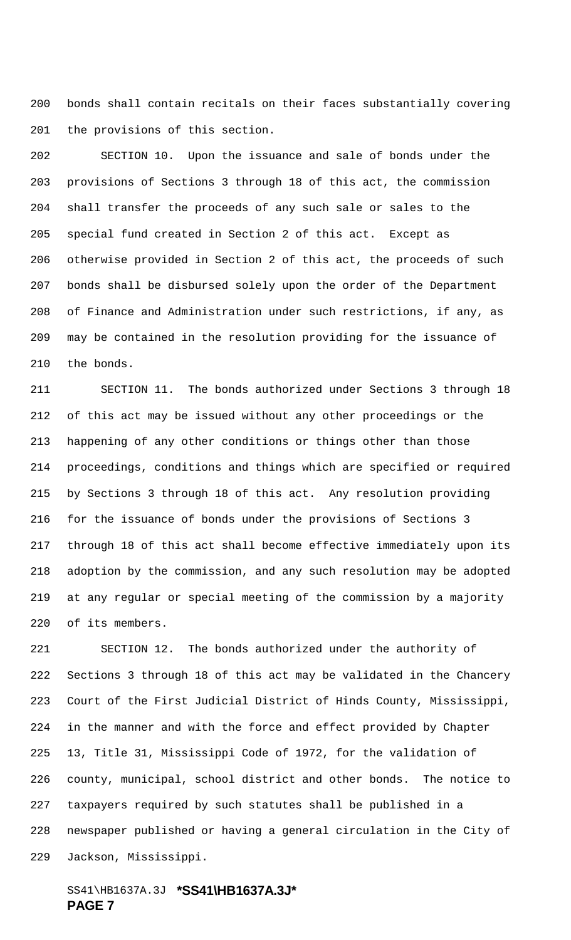bonds shall contain recitals on their faces substantially covering the provisions of this section.

 SECTION 10. Upon the issuance and sale of bonds under the provisions of Sections 3 through 18 of this act, the commission shall transfer the proceeds of any such sale or sales to the special fund created in Section 2 of this act. Except as otherwise provided in Section 2 of this act, the proceeds of such bonds shall be disbursed solely upon the order of the Department of Finance and Administration under such restrictions, if any, as may be contained in the resolution providing for the issuance of the bonds.

 SECTION 11. The bonds authorized under Sections 3 through 18 of this act may be issued without any other proceedings or the happening of any other conditions or things other than those proceedings, conditions and things which are specified or required by Sections 3 through 18 of this act. Any resolution providing for the issuance of bonds under the provisions of Sections 3 through 18 of this act shall become effective immediately upon its adoption by the commission, and any such resolution may be adopted at any regular or special meeting of the commission by a majority of its members.

 SECTION 12. The bonds authorized under the authority of Sections 3 through 18 of this act may be validated in the Chancery Court of the First Judicial District of Hinds County, Mississippi, in the manner and with the force and effect provided by Chapter 13, Title 31, Mississippi Code of 1972, for the validation of county, municipal, school district and other bonds. The notice to taxpayers required by such statutes shall be published in a newspaper published or having a general circulation in the City of Jackson, Mississippi.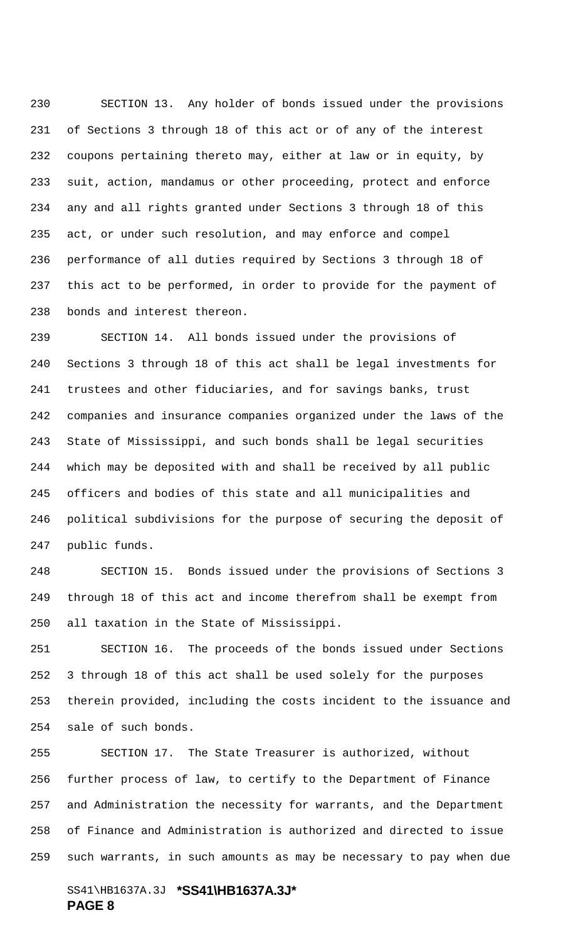SECTION 13. Any holder of bonds issued under the provisions of Sections 3 through 18 of this act or of any of the interest coupons pertaining thereto may, either at law or in equity, by suit, action, mandamus or other proceeding, protect and enforce any and all rights granted under Sections 3 through 18 of this act, or under such resolution, and may enforce and compel performance of all duties required by Sections 3 through 18 of this act to be performed, in order to provide for the payment of bonds and interest thereon.

 SECTION 14. All bonds issued under the provisions of Sections 3 through 18 of this act shall be legal investments for trustees and other fiduciaries, and for savings banks, trust companies and insurance companies organized under the laws of the State of Mississippi, and such bonds shall be legal securities which may be deposited with and shall be received by all public officers and bodies of this state and all municipalities and political subdivisions for the purpose of securing the deposit of public funds.

 SECTION 15. Bonds issued under the provisions of Sections 3 through 18 of this act and income therefrom shall be exempt from all taxation in the State of Mississippi.

 SECTION 16. The proceeds of the bonds issued under Sections 3 through 18 of this act shall be used solely for the purposes therein provided, including the costs incident to the issuance and sale of such bonds.

 SECTION 17. The State Treasurer is authorized, without further process of law, to certify to the Department of Finance and Administration the necessity for warrants, and the Department of Finance and Administration is authorized and directed to issue such warrants, in such amounts as may be necessary to pay when due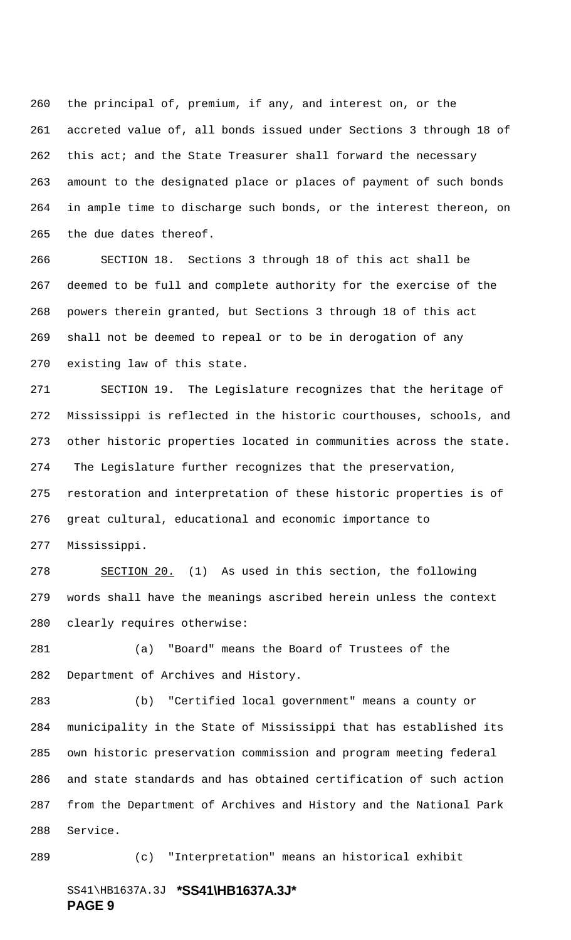the principal of, premium, if any, and interest on, or the accreted value of, all bonds issued under Sections 3 through 18 of this act; and the State Treasurer shall forward the necessary amount to the designated place or places of payment of such bonds in ample time to discharge such bonds, or the interest thereon, on the due dates thereof.

 SECTION 18. Sections 3 through 18 of this act shall be deemed to be full and complete authority for the exercise of the powers therein granted, but Sections 3 through 18 of this act shall not be deemed to repeal or to be in derogation of any existing law of this state.

 SECTION 19. The Legislature recognizes that the heritage of Mississippi is reflected in the historic courthouses, schools, and other historic properties located in communities across the state. 274 The Legislature further recognizes that the preservation, restoration and interpretation of these historic properties is of great cultural, educational and economic importance to Mississippi.

278 SECTION 20. (1) As used in this section, the following words shall have the meanings ascribed herein unless the context clearly requires otherwise:

 (a) "Board" means the Board of Trustees of the Department of Archives and History.

 (b) "Certified local government" means a county or municipality in the State of Mississippi that has established its own historic preservation commission and program meeting federal and state standards and has obtained certification of such action from the Department of Archives and History and the National Park Service.

(c) "Interpretation" means an historical exhibit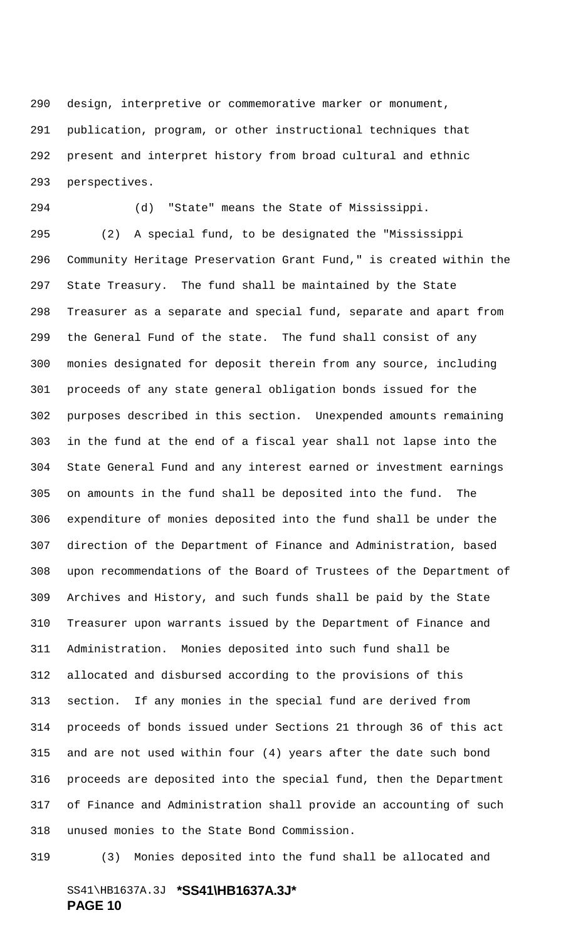design, interpretive or commemorative marker or monument, publication, program, or other instructional techniques that present and interpret history from broad cultural and ethnic perspectives.

 (d) "State" means the State of Mississippi. (2) A special fund, to be designated the "Mississippi Community Heritage Preservation Grant Fund," is created within the State Treasury. The fund shall be maintained by the State Treasurer as a separate and special fund, separate and apart from the General Fund of the state. The fund shall consist of any monies designated for deposit therein from any source, including proceeds of any state general obligation bonds issued for the purposes described in this section. Unexpended amounts remaining in the fund at the end of a fiscal year shall not lapse into the State General Fund and any interest earned or investment earnings on amounts in the fund shall be deposited into the fund. The expenditure of monies deposited into the fund shall be under the direction of the Department of Finance and Administration, based upon recommendations of the Board of Trustees of the Department of Archives and History, and such funds shall be paid by the State Treasurer upon warrants issued by the Department of Finance and Administration. Monies deposited into such fund shall be allocated and disbursed according to the provisions of this section. If any monies in the special fund are derived from proceeds of bonds issued under Sections 21 through 36 of this act and are not used within four (4) years after the date such bond proceeds are deposited into the special fund, then the Department of Finance and Administration shall provide an accounting of such unused monies to the State Bond Commission.

(3) Monies deposited into the fund shall be allocated and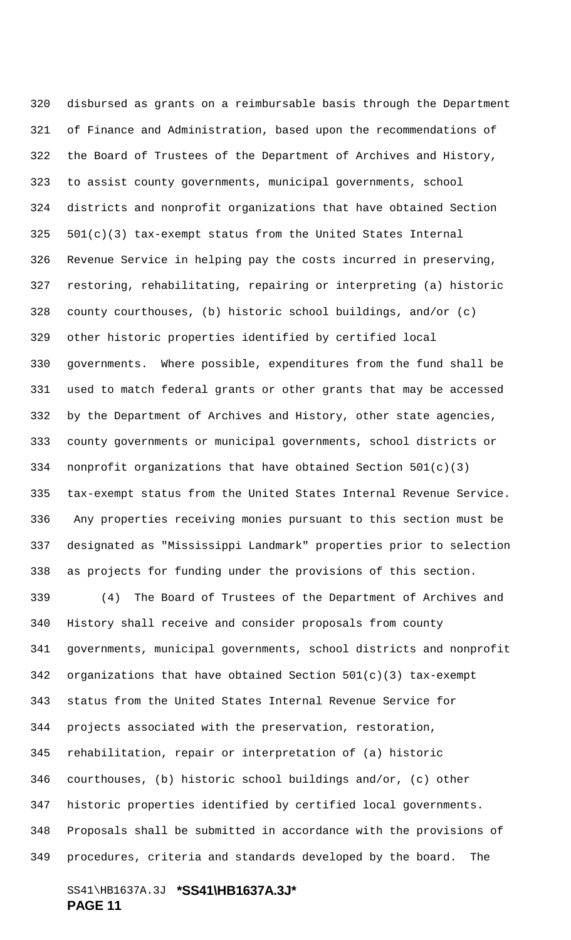disbursed as grants on a reimbursable basis through the Department of Finance and Administration, based upon the recommendations of the Board of Trustees of the Department of Archives and History, to assist county governments, municipal governments, school districts and nonprofit organizations that have obtained Section  $501(c)(3)$  tax-exempt status from the United States Internal Revenue Service in helping pay the costs incurred in preserving, restoring, rehabilitating, repairing or interpreting (a) historic county courthouses, (b) historic school buildings, and/or (c) other historic properties identified by certified local governments. Where possible, expenditures from the fund shall be used to match federal grants or other grants that may be accessed by the Department of Archives and History, other state agencies, county governments or municipal governments, school districts or nonprofit organizations that have obtained Section 501(c)(3) tax-exempt status from the United States Internal Revenue Service. 336 Any properties receiving monies pursuant to this section must be designated as "Mississippi Landmark" properties prior to selection as projects for funding under the provisions of this section.

 (4) The Board of Trustees of the Department of Archives and History shall receive and consider proposals from county governments, municipal governments, school districts and nonprofit organizations that have obtained Section 501(c)(3) tax-exempt status from the United States Internal Revenue Service for projects associated with the preservation, restoration, rehabilitation, repair or interpretation of (a) historic courthouses, (b) historic school buildings and/or, (c) other historic properties identified by certified local governments. Proposals shall be submitted in accordance with the provisions of procedures, criteria and standards developed by the board. The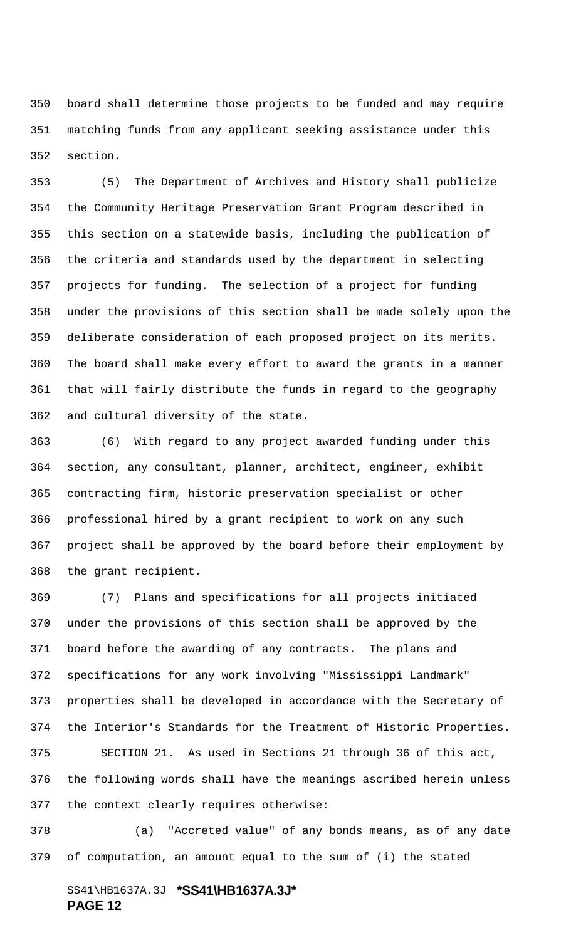board shall determine those projects to be funded and may require matching funds from any applicant seeking assistance under this section.

 (5) The Department of Archives and History shall publicize the Community Heritage Preservation Grant Program described in this section on a statewide basis, including the publication of the criteria and standards used by the department in selecting projects for funding. The selection of a project for funding under the provisions of this section shall be made solely upon the deliberate consideration of each proposed project on its merits. The board shall make every effort to award the grants in a manner that will fairly distribute the funds in regard to the geography and cultural diversity of the state.

 (6) With regard to any project awarded funding under this section, any consultant, planner, architect, engineer, exhibit contracting firm, historic preservation specialist or other professional hired by a grant recipient to work on any such project shall be approved by the board before their employment by the grant recipient.

 (7) Plans and specifications for all projects initiated under the provisions of this section shall be approved by the board before the awarding of any contracts. The plans and specifications for any work involving "Mississippi Landmark" properties shall be developed in accordance with the Secretary of the Interior's Standards for the Treatment of Historic Properties. SECTION 21. As used in Sections 21 through 36 of this act, the following words shall have the meanings ascribed herein unless the context clearly requires otherwise:

 (a) "Accreted value" of any bonds means, as of any date of computation, an amount equal to the sum of (i) the stated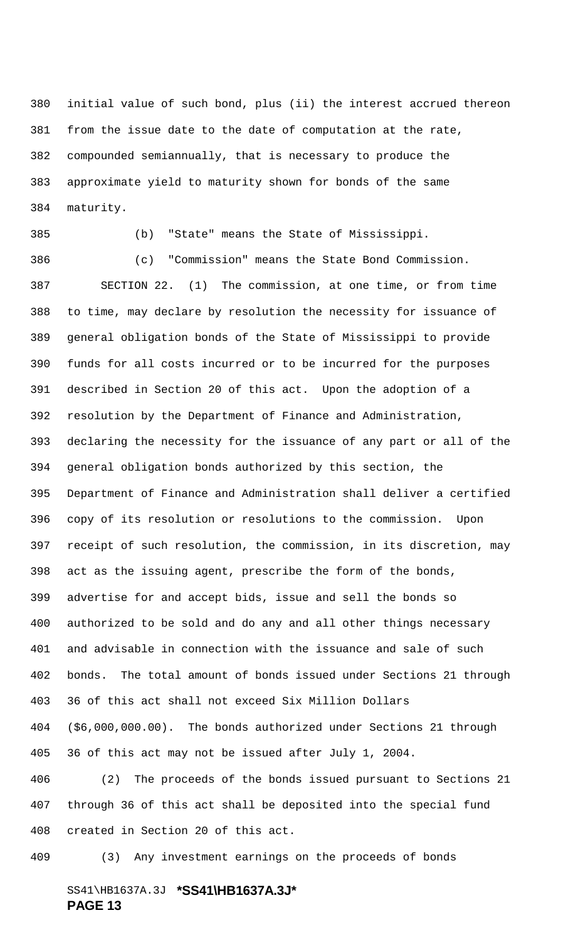initial value of such bond, plus (ii) the interest accrued thereon from the issue date to the date of computation at the rate, compounded semiannually, that is necessary to produce the approximate yield to maturity shown for bonds of the same maturity.

(b) "State" means the State of Mississippi.

 (c) "Commission" means the State Bond Commission. SECTION 22. (1) The commission, at one time, or from time to time, may declare by resolution the necessity for issuance of general obligation bonds of the State of Mississippi to provide funds for all costs incurred or to be incurred for the purposes described in Section 20 of this act. Upon the adoption of a resolution by the Department of Finance and Administration, declaring the necessity for the issuance of any part or all of the general obligation bonds authorized by this section, the Department of Finance and Administration shall deliver a certified copy of its resolution or resolutions to the commission. Upon receipt of such resolution, the commission, in its discretion, may act as the issuing agent, prescribe the form of the bonds, advertise for and accept bids, issue and sell the bonds so authorized to be sold and do any and all other things necessary and advisable in connection with the issuance and sale of such bonds. The total amount of bonds issued under Sections 21 through 36 of this act shall not exceed Six Million Dollars (\$6,000,000.00). The bonds authorized under Sections 21 through 36 of this act may not be issued after July 1, 2004.

 (2) The proceeds of the bonds issued pursuant to Sections 21 through 36 of this act shall be deposited into the special fund created in Section 20 of this act.

(3) Any investment earnings on the proceeds of bonds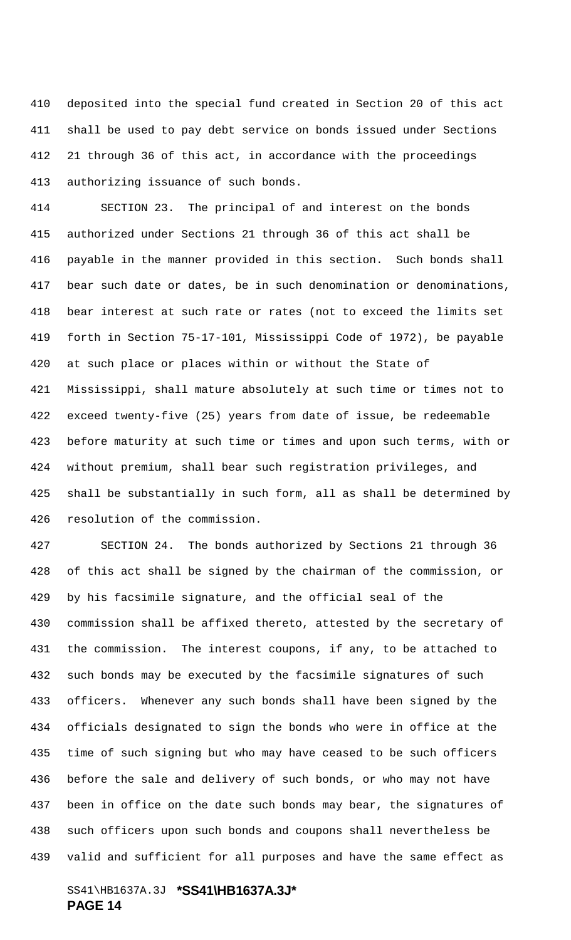deposited into the special fund created in Section 20 of this act shall be used to pay debt service on bonds issued under Sections 21 through 36 of this act, in accordance with the proceedings authorizing issuance of such bonds.

 SECTION 23. The principal of and interest on the bonds authorized under Sections 21 through 36 of this act shall be payable in the manner provided in this section. Such bonds shall bear such date or dates, be in such denomination or denominations, bear interest at such rate or rates (not to exceed the limits set forth in Section 75-17-101, Mississippi Code of 1972), be payable at such place or places within or without the State of Mississippi, shall mature absolutely at such time or times not to exceed twenty-five (25) years from date of issue, be redeemable before maturity at such time or times and upon such terms, with or without premium, shall bear such registration privileges, and shall be substantially in such form, all as shall be determined by resolution of the commission.

 SECTION 24. The bonds authorized by Sections 21 through 36 of this act shall be signed by the chairman of the commission, or by his facsimile signature, and the official seal of the commission shall be affixed thereto, attested by the secretary of the commission. The interest coupons, if any, to be attached to such bonds may be executed by the facsimile signatures of such officers. Whenever any such bonds shall have been signed by the officials designated to sign the bonds who were in office at the time of such signing but who may have ceased to be such officers before the sale and delivery of such bonds, or who may not have been in office on the date such bonds may bear, the signatures of such officers upon such bonds and coupons shall nevertheless be valid and sufficient for all purposes and have the same effect as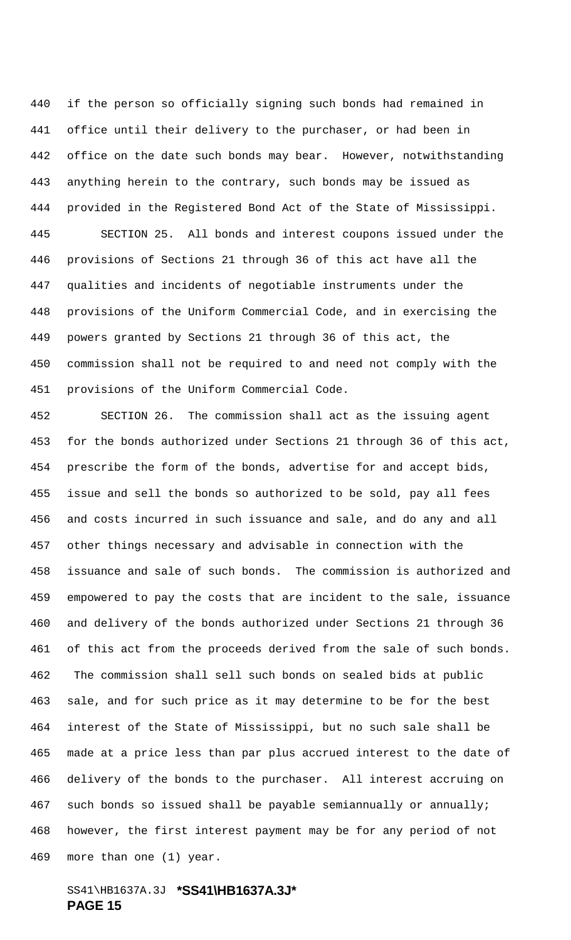if the person so officially signing such bonds had remained in office until their delivery to the purchaser, or had been in office on the date such bonds may bear. However, notwithstanding anything herein to the contrary, such bonds may be issued as provided in the Registered Bond Act of the State of Mississippi. SECTION 25. All bonds and interest coupons issued under the provisions of Sections 21 through 36 of this act have all the qualities and incidents of negotiable instruments under the provisions of the Uniform Commercial Code, and in exercising the powers granted by Sections 21 through 36 of this act, the commission shall not be required to and need not comply with the provisions of the Uniform Commercial Code.

 SECTION 26. The commission shall act as the issuing agent for the bonds authorized under Sections 21 through 36 of this act, prescribe the form of the bonds, advertise for and accept bids, issue and sell the bonds so authorized to be sold, pay all fees and costs incurred in such issuance and sale, and do any and all other things necessary and advisable in connection with the issuance and sale of such bonds. The commission is authorized and empowered to pay the costs that are incident to the sale, issuance and delivery of the bonds authorized under Sections 21 through 36 of this act from the proceeds derived from the sale of such bonds. 462 The commission shall sell such bonds on sealed bids at public sale, and for such price as it may determine to be for the best interest of the State of Mississippi, but no such sale shall be made at a price less than par plus accrued interest to the date of delivery of the bonds to the purchaser. All interest accruing on such bonds so issued shall be payable semiannually or annually; however, the first interest payment may be for any period of not more than one (1) year.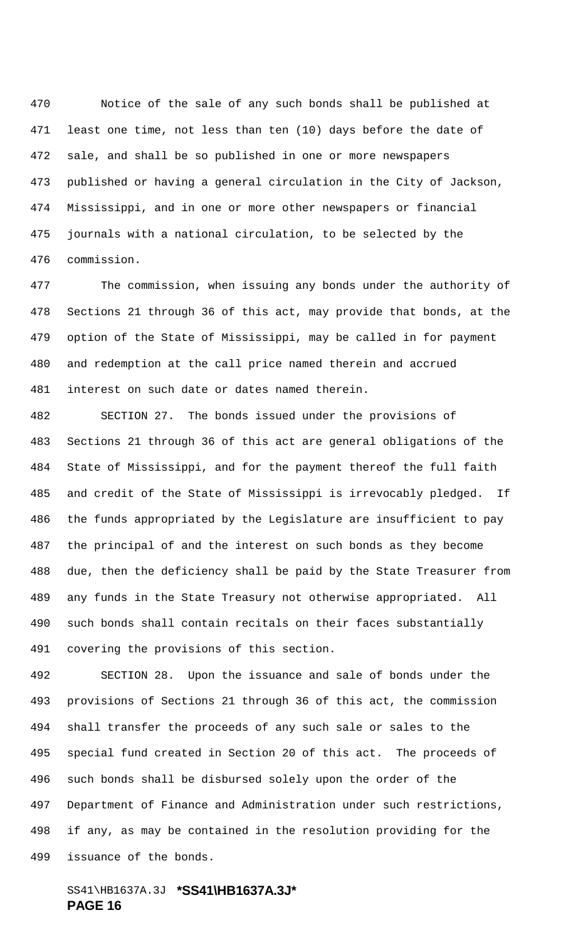Notice of the sale of any such bonds shall be published at least one time, not less than ten (10) days before the date of sale, and shall be so published in one or more newspapers published or having a general circulation in the City of Jackson, Mississippi, and in one or more other newspapers or financial journals with a national circulation, to be selected by the commission.

 The commission, when issuing any bonds under the authority of Sections 21 through 36 of this act, may provide that bonds, at the option of the State of Mississippi, may be called in for payment and redemption at the call price named therein and accrued interest on such date or dates named therein.

 SECTION 27. The bonds issued under the provisions of Sections 21 through 36 of this act are general obligations of the State of Mississippi, and for the payment thereof the full faith and credit of the State of Mississippi is irrevocably pledged. If the funds appropriated by the Legislature are insufficient to pay the principal of and the interest on such bonds as they become due, then the deficiency shall be paid by the State Treasurer from any funds in the State Treasury not otherwise appropriated. All such bonds shall contain recitals on their faces substantially covering the provisions of this section.

 SECTION 28. Upon the issuance and sale of bonds under the provisions of Sections 21 through 36 of this act, the commission shall transfer the proceeds of any such sale or sales to the special fund created in Section 20 of this act. The proceeds of such bonds shall be disbursed solely upon the order of the Department of Finance and Administration under such restrictions, if any, as may be contained in the resolution providing for the issuance of the bonds.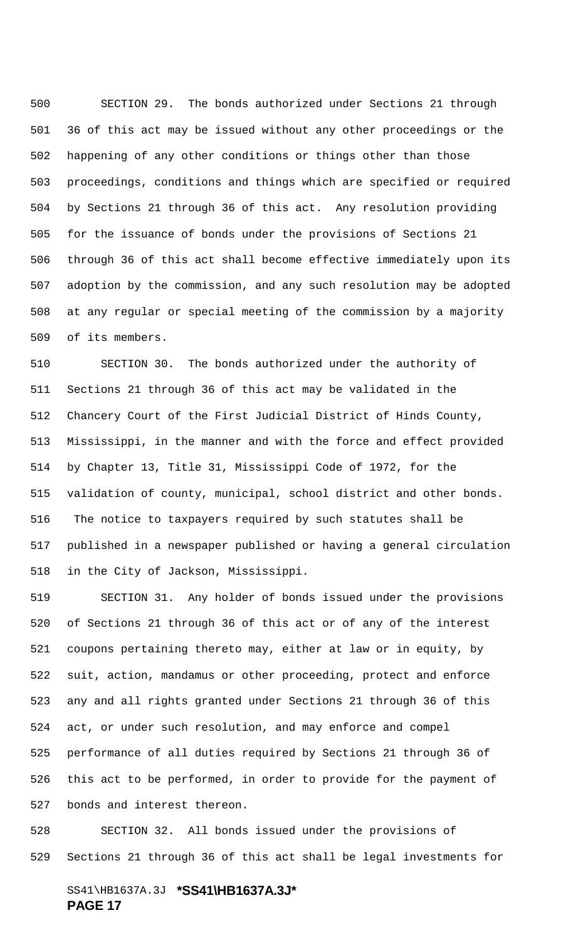SECTION 29. The bonds authorized under Sections 21 through 36 of this act may be issued without any other proceedings or the happening of any other conditions or things other than those proceedings, conditions and things which are specified or required by Sections 21 through 36 of this act. Any resolution providing for the issuance of bonds under the provisions of Sections 21 through 36 of this act shall become effective immediately upon its adoption by the commission, and any such resolution may be adopted at any regular or special meeting of the commission by a majority of its members.

 SECTION 30. The bonds authorized under the authority of Sections 21 through 36 of this act may be validated in the Chancery Court of the First Judicial District of Hinds County, Mississippi, in the manner and with the force and effect provided by Chapter 13, Title 31, Mississippi Code of 1972, for the validation of county, municipal, school district and other bonds. 516 The notice to taxpayers required by such statutes shall be published in a newspaper published or having a general circulation in the City of Jackson, Mississippi.

 SECTION 31. Any holder of bonds issued under the provisions of Sections 21 through 36 of this act or of any of the interest coupons pertaining thereto may, either at law or in equity, by suit, action, mandamus or other proceeding, protect and enforce any and all rights granted under Sections 21 through 36 of this act, or under such resolution, and may enforce and compel performance of all duties required by Sections 21 through 36 of this act to be performed, in order to provide for the payment of bonds and interest thereon.

 SECTION 32. All bonds issued under the provisions of Sections 21 through 36 of this act shall be legal investments for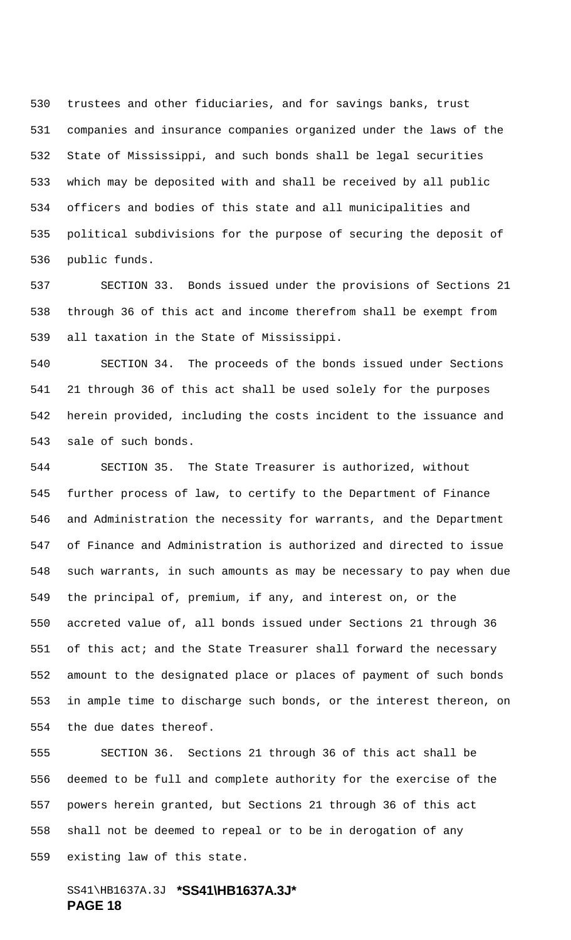trustees and other fiduciaries, and for savings banks, trust companies and insurance companies organized under the laws of the State of Mississippi, and such bonds shall be legal securities which may be deposited with and shall be received by all public officers and bodies of this state and all municipalities and political subdivisions for the purpose of securing the deposit of public funds.

 SECTION 33. Bonds issued under the provisions of Sections 21 through 36 of this act and income therefrom shall be exempt from all taxation in the State of Mississippi.

 SECTION 34. The proceeds of the bonds issued under Sections 21 through 36 of this act shall be used solely for the purposes herein provided, including the costs incident to the issuance and sale of such bonds.

 SECTION 35. The State Treasurer is authorized, without further process of law, to certify to the Department of Finance and Administration the necessity for warrants, and the Department of Finance and Administration is authorized and directed to issue such warrants, in such amounts as may be necessary to pay when due the principal of, premium, if any, and interest on, or the accreted value of, all bonds issued under Sections 21 through 36 551 of this act; and the State Treasurer shall forward the necessary amount to the designated place or places of payment of such bonds in ample time to discharge such bonds, or the interest thereon, on the due dates thereof.

 SECTION 36. Sections 21 through 36 of this act shall be deemed to be full and complete authority for the exercise of the powers herein granted, but Sections 21 through 36 of this act shall not be deemed to repeal or to be in derogation of any existing law of this state.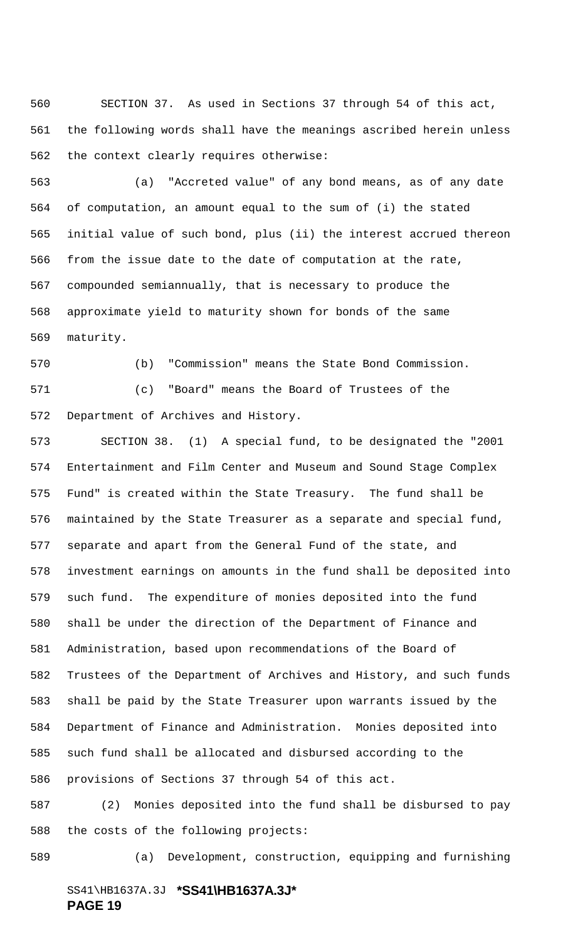SECTION 37. As used in Sections 37 through 54 of this act, the following words shall have the meanings ascribed herein unless the context clearly requires otherwise:

 (a) "Accreted value" of any bond means, as of any date of computation, an amount equal to the sum of (i) the stated initial value of such bond, plus (ii) the interest accrued thereon from the issue date to the date of computation at the rate, compounded semiannually, that is necessary to produce the approximate yield to maturity shown for bonds of the same maturity.

 (b) "Commission" means the State Bond Commission. (c) "Board" means the Board of Trustees of the Department of Archives and History.

 SECTION 38. (1) A special fund, to be designated the "2001 Entertainment and Film Center and Museum and Sound Stage Complex Fund" is created within the State Treasury. The fund shall be maintained by the State Treasurer as a separate and special fund, separate and apart from the General Fund of the state, and investment earnings on amounts in the fund shall be deposited into such fund. The expenditure of monies deposited into the fund shall be under the direction of the Department of Finance and Administration, based upon recommendations of the Board of Trustees of the Department of Archives and History, and such funds shall be paid by the State Treasurer upon warrants issued by the Department of Finance and Administration. Monies deposited into such fund shall be allocated and disbursed according to the provisions of Sections 37 through 54 of this act.

 (2) Monies deposited into the fund shall be disbursed to pay the costs of the following projects:

(a) Development, construction, equipping and furnishing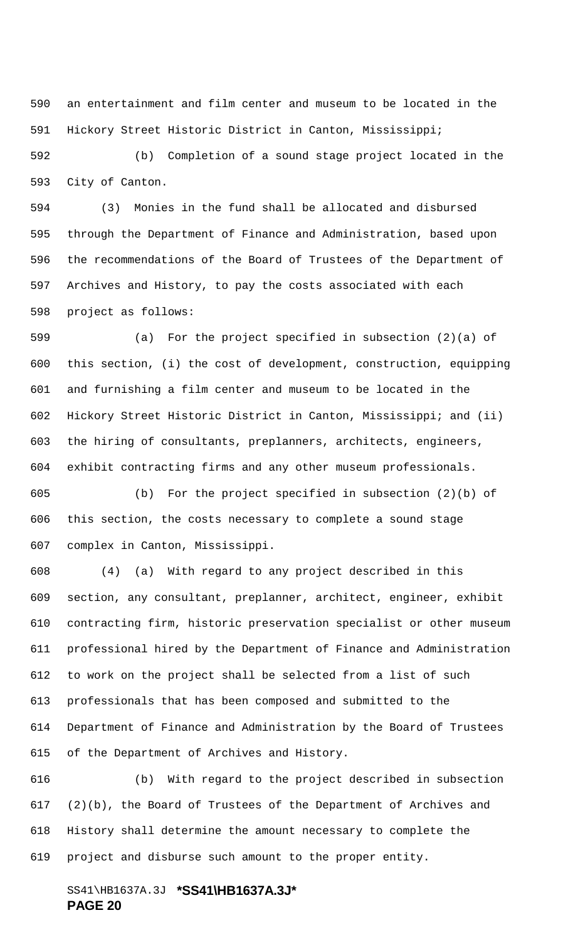an entertainment and film center and museum to be located in the Hickory Street Historic District in Canton, Mississippi;

 (b) Completion of a sound stage project located in the City of Canton.

 (3) Monies in the fund shall be allocated and disbursed through the Department of Finance and Administration, based upon the recommendations of the Board of Trustees of the Department of Archives and History, to pay the costs associated with each project as follows:

 (a) For the project specified in subsection (2)(a) of this section, (i) the cost of development, construction, equipping and furnishing a film center and museum to be located in the Hickory Street Historic District in Canton, Mississippi; and (ii) the hiring of consultants, preplanners, architects, engineers, exhibit contracting firms and any other museum professionals.

 (b) For the project specified in subsection (2)(b) of this section, the costs necessary to complete a sound stage complex in Canton, Mississippi.

 (4) (a) With regard to any project described in this section, any consultant, preplanner, architect, engineer, exhibit contracting firm, historic preservation specialist or other museum professional hired by the Department of Finance and Administration to work on the project shall be selected from a list of such professionals that has been composed and submitted to the Department of Finance and Administration by the Board of Trustees of the Department of Archives and History.

 (b) With regard to the project described in subsection (2)(b), the Board of Trustees of the Department of Archives and History shall determine the amount necessary to complete the project and disburse such amount to the proper entity.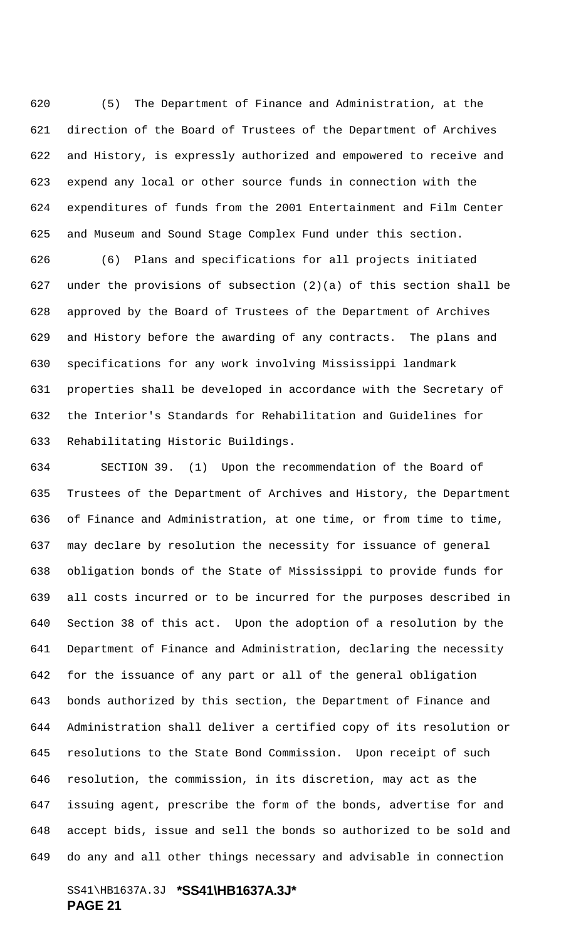(5) The Department of Finance and Administration, at the direction of the Board of Trustees of the Department of Archives and History, is expressly authorized and empowered to receive and expend any local or other source funds in connection with the expenditures of funds from the 2001 Entertainment and Film Center and Museum and Sound Stage Complex Fund under this section.

 (6) Plans and specifications for all projects initiated 627 under the provisions of subsection  $(2)(a)$  of this section shall be approved by the Board of Trustees of the Department of Archives and History before the awarding of any contracts. The plans and specifications for any work involving Mississippi landmark properties shall be developed in accordance with the Secretary of the Interior's Standards for Rehabilitation and Guidelines for Rehabilitating Historic Buildings.

 SECTION 39. (1) Upon the recommendation of the Board of Trustees of the Department of Archives and History, the Department of Finance and Administration, at one time, or from time to time, may declare by resolution the necessity for issuance of general obligation bonds of the State of Mississippi to provide funds for all costs incurred or to be incurred for the purposes described in Section 38 of this act. Upon the adoption of a resolution by the Department of Finance and Administration, declaring the necessity for the issuance of any part or all of the general obligation bonds authorized by this section, the Department of Finance and Administration shall deliver a certified copy of its resolution or resolutions to the State Bond Commission. Upon receipt of such resolution, the commission, in its discretion, may act as the issuing agent, prescribe the form of the bonds, advertise for and accept bids, issue and sell the bonds so authorized to be sold and do any and all other things necessary and advisable in connection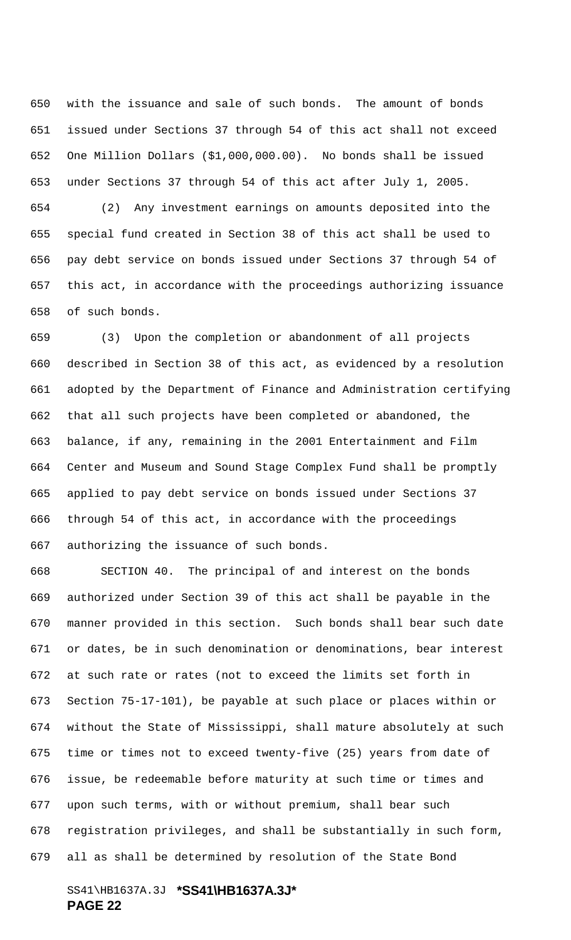with the issuance and sale of such bonds. The amount of bonds issued under Sections 37 through 54 of this act shall not exceed One Million Dollars (\$1,000,000.00). No bonds shall be issued under Sections 37 through 54 of this act after July 1, 2005.

 (2) Any investment earnings on amounts deposited into the special fund created in Section 38 of this act shall be used to pay debt service on bonds issued under Sections 37 through 54 of this act, in accordance with the proceedings authorizing issuance of such bonds.

 (3) Upon the completion or abandonment of all projects described in Section 38 of this act, as evidenced by a resolution adopted by the Department of Finance and Administration certifying that all such projects have been completed or abandoned, the balance, if any, remaining in the 2001 Entertainment and Film Center and Museum and Sound Stage Complex Fund shall be promptly applied to pay debt service on bonds issued under Sections 37 through 54 of this act, in accordance with the proceedings authorizing the issuance of such bonds.

 SECTION 40. The principal of and interest on the bonds authorized under Section 39 of this act shall be payable in the manner provided in this section. Such bonds shall bear such date or dates, be in such denomination or denominations, bear interest at such rate or rates (not to exceed the limits set forth in Section 75-17-101), be payable at such place or places within or without the State of Mississippi, shall mature absolutely at such time or times not to exceed twenty-five (25) years from date of issue, be redeemable before maturity at such time or times and upon such terms, with or without premium, shall bear such registration privileges, and shall be substantially in such form, all as shall be determined by resolution of the State Bond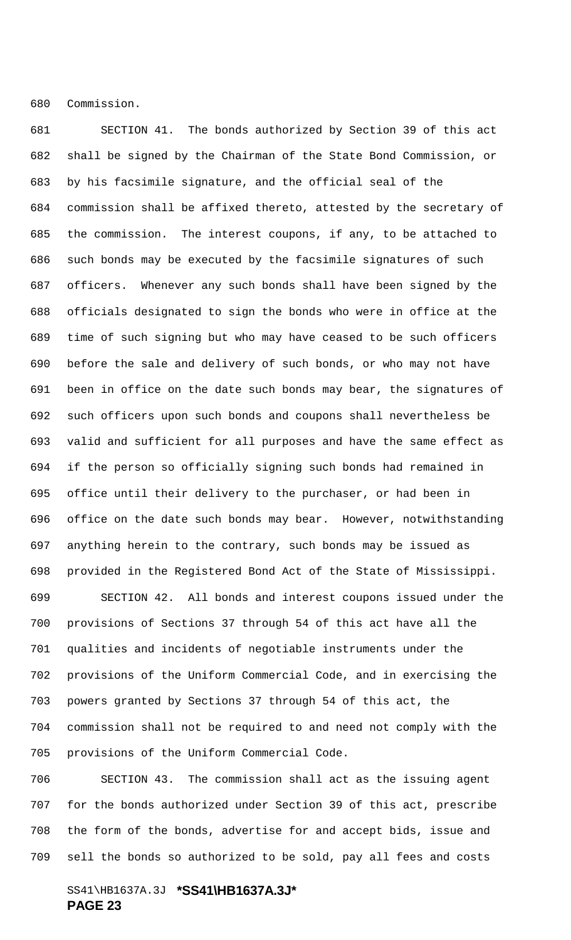Commission.

 SECTION 41. The bonds authorized by Section 39 of this act shall be signed by the Chairman of the State Bond Commission, or by his facsimile signature, and the official seal of the commission shall be affixed thereto, attested by the secretary of the commission. The interest coupons, if any, to be attached to such bonds may be executed by the facsimile signatures of such officers. Whenever any such bonds shall have been signed by the officials designated to sign the bonds who were in office at the time of such signing but who may have ceased to be such officers before the sale and delivery of such bonds, or who may not have been in office on the date such bonds may bear, the signatures of such officers upon such bonds and coupons shall nevertheless be valid and sufficient for all purposes and have the same effect as if the person so officially signing such bonds had remained in office until their delivery to the purchaser, or had been in office on the date such bonds may bear. However, notwithstanding anything herein to the contrary, such bonds may be issued as provided in the Registered Bond Act of the State of Mississippi. SECTION 42. All bonds and interest coupons issued under the provisions of Sections 37 through 54 of this act have all the

 qualities and incidents of negotiable instruments under the provisions of the Uniform Commercial Code, and in exercising the powers granted by Sections 37 through 54 of this act, the commission shall not be required to and need not comply with the provisions of the Uniform Commercial Code.

 SECTION 43. The commission shall act as the issuing agent for the bonds authorized under Section 39 of this act, prescribe the form of the bonds, advertise for and accept bids, issue and sell the bonds so authorized to be sold, pay all fees and costs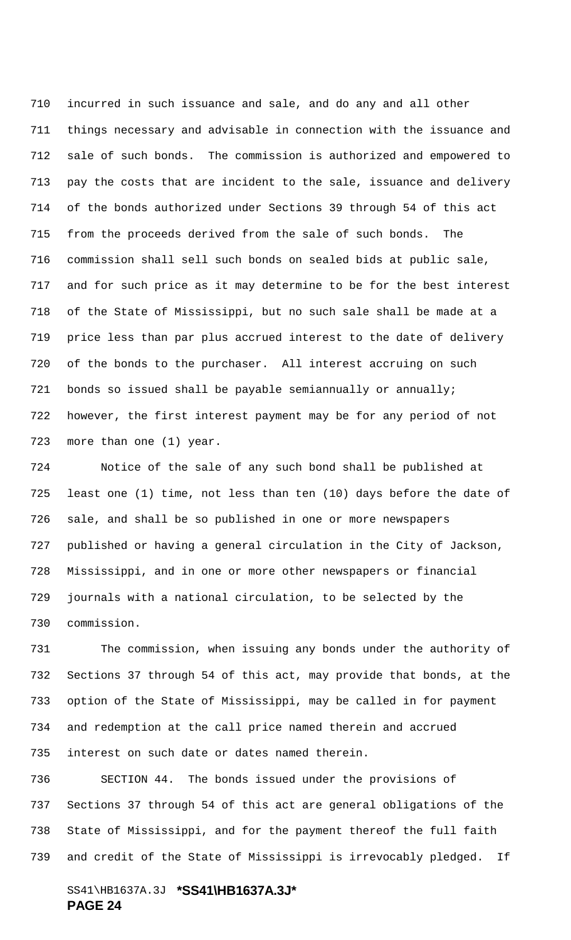incurred in such issuance and sale, and do any and all other things necessary and advisable in connection with the issuance and sale of such bonds. The commission is authorized and empowered to pay the costs that are incident to the sale, issuance and delivery of the bonds authorized under Sections 39 through 54 of this act from the proceeds derived from the sale of such bonds. The commission shall sell such bonds on sealed bids at public sale, and for such price as it may determine to be for the best interest of the State of Mississippi, but no such sale shall be made at a price less than par plus accrued interest to the date of delivery of the bonds to the purchaser. All interest accruing on such bonds so issued shall be payable semiannually or annually; however, the first interest payment may be for any period of not more than one (1) year.

 Notice of the sale of any such bond shall be published at least one (1) time, not less than ten (10) days before the date of sale, and shall be so published in one or more newspapers published or having a general circulation in the City of Jackson, Mississippi, and in one or more other newspapers or financial journals with a national circulation, to be selected by the commission.

 The commission, when issuing any bonds under the authority of Sections 37 through 54 of this act, may provide that bonds, at the option of the State of Mississippi, may be called in for payment and redemption at the call price named therein and accrued interest on such date or dates named therein.

 SECTION 44. The bonds issued under the provisions of Sections 37 through 54 of this act are general obligations of the State of Mississippi, and for the payment thereof the full faith and credit of the State of Mississippi is irrevocably pledged. If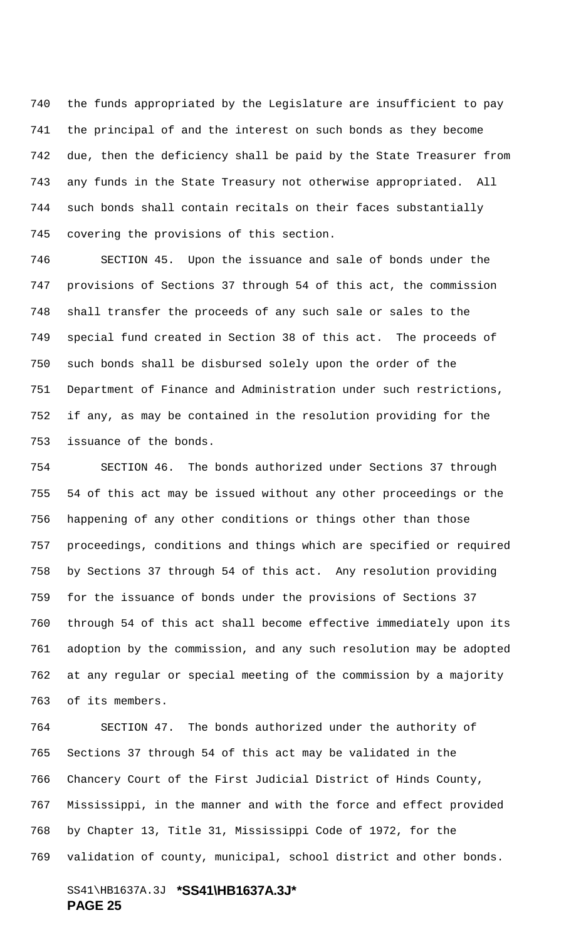the funds appropriated by the Legislature are insufficient to pay the principal of and the interest on such bonds as they become due, then the deficiency shall be paid by the State Treasurer from any funds in the State Treasury not otherwise appropriated. All such bonds shall contain recitals on their faces substantially covering the provisions of this section.

 SECTION 45. Upon the issuance and sale of bonds under the provisions of Sections 37 through 54 of this act, the commission shall transfer the proceeds of any such sale or sales to the special fund created in Section 38 of this act. The proceeds of such bonds shall be disbursed solely upon the order of the Department of Finance and Administration under such restrictions, if any, as may be contained in the resolution providing for the issuance of the bonds.

 SECTION 46. The bonds authorized under Sections 37 through 54 of this act may be issued without any other proceedings or the happening of any other conditions or things other than those proceedings, conditions and things which are specified or required by Sections 37 through 54 of this act. Any resolution providing for the issuance of bonds under the provisions of Sections 37 through 54 of this act shall become effective immediately upon its adoption by the commission, and any such resolution may be adopted at any regular or special meeting of the commission by a majority of its members.

 SECTION 47. The bonds authorized under the authority of Sections 37 through 54 of this act may be validated in the Chancery Court of the First Judicial District of Hinds County, Mississippi, in the manner and with the force and effect provided by Chapter 13, Title 31, Mississippi Code of 1972, for the validation of county, municipal, school district and other bonds.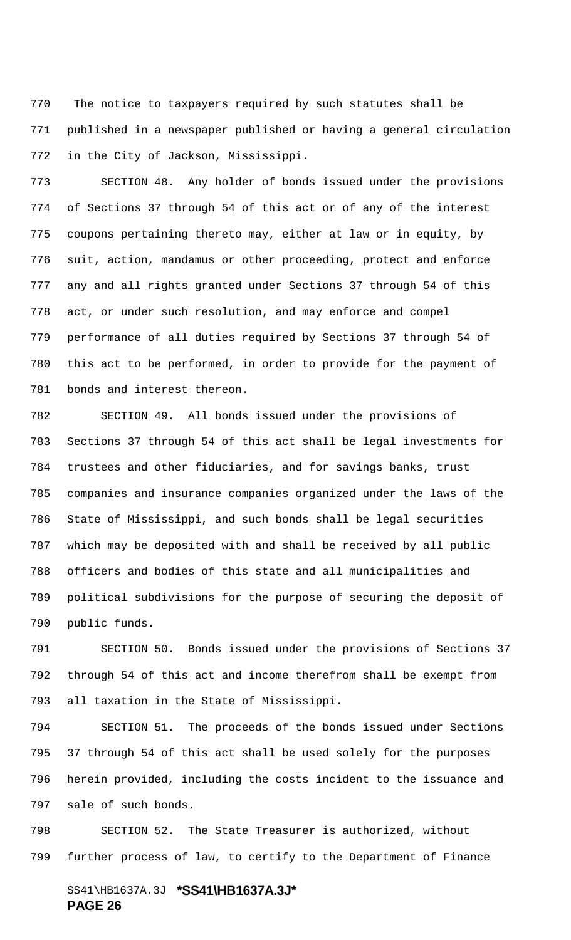770 The notice to taxpayers required by such statutes shall be published in a newspaper published or having a general circulation in the City of Jackson, Mississippi.

 SECTION 48. Any holder of bonds issued under the provisions of Sections 37 through 54 of this act or of any of the interest coupons pertaining thereto may, either at law or in equity, by suit, action, mandamus or other proceeding, protect and enforce any and all rights granted under Sections 37 through 54 of this act, or under such resolution, and may enforce and compel performance of all duties required by Sections 37 through 54 of this act to be performed, in order to provide for the payment of bonds and interest thereon.

 SECTION 49. All bonds issued under the provisions of Sections 37 through 54 of this act shall be legal investments for trustees and other fiduciaries, and for savings banks, trust companies and insurance companies organized under the laws of the State of Mississippi, and such bonds shall be legal securities which may be deposited with and shall be received by all public officers and bodies of this state and all municipalities and political subdivisions for the purpose of securing the deposit of public funds.

 SECTION 50. Bonds issued under the provisions of Sections 37 through 54 of this act and income therefrom shall be exempt from all taxation in the State of Mississippi.

 SECTION 51. The proceeds of the bonds issued under Sections 37 through 54 of this act shall be used solely for the purposes herein provided, including the costs incident to the issuance and sale of such bonds.

 SECTION 52. The State Treasurer is authorized, without further process of law, to certify to the Department of Finance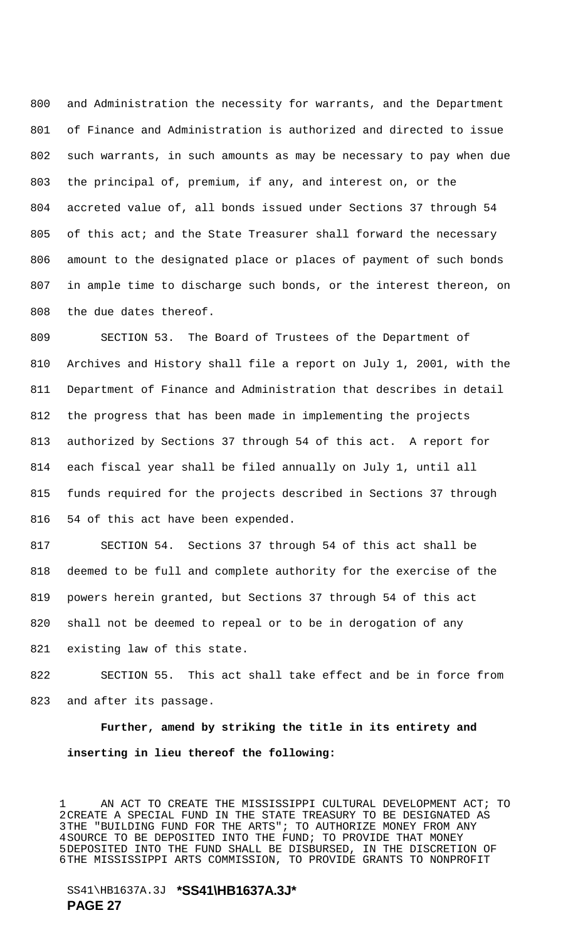and Administration the necessity for warrants, and the Department of Finance and Administration is authorized and directed to issue such warrants, in such amounts as may be necessary to pay when due the principal of, premium, if any, and interest on, or the accreted value of, all bonds issued under Sections 37 through 54 805 of this act; and the State Treasurer shall forward the necessary amount to the designated place or places of payment of such bonds in ample time to discharge such bonds, or the interest thereon, on the due dates thereof.

 SECTION 53. The Board of Trustees of the Department of Archives and History shall file a report on July 1, 2001, with the Department of Finance and Administration that describes in detail the progress that has been made in implementing the projects authorized by Sections 37 through 54 of this act. A report for each fiscal year shall be filed annually on July 1, until all funds required for the projects described in Sections 37 through 54 of this act have been expended.

 SECTION 54. Sections 37 through 54 of this act shall be deemed to be full and complete authority for the exercise of the powers herein granted, but Sections 37 through 54 of this act shall not be deemed to repeal or to be in derogation of any existing law of this state.

 SECTION 55. This act shall take effect and be in force from and after its passage.

**Further, amend by striking the title in its entirety and inserting in lieu thereof the following:**

 AN ACT TO CREATE THE MISSISSIPPI CULTURAL DEVELOPMENT ACT; TO 2CREATE A SPECIAL FUND IN THE STATE TREASURY TO BE DESIGNATED AS 3THE "BUILDING FUND FOR THE ARTS"; TO AUTHORIZE MONEY FROM ANY 4SOURCE TO BE DEPOSITED INTO THE FUND; TO PROVIDE THAT MONEY 5DEPOSITED INTO THE FUND SHALL BE DISBURSED, IN THE DISCRETION OF 6THE MISSISSIPPI ARTS COMMISSION, TO PROVIDE GRANTS TO NONPROFIT